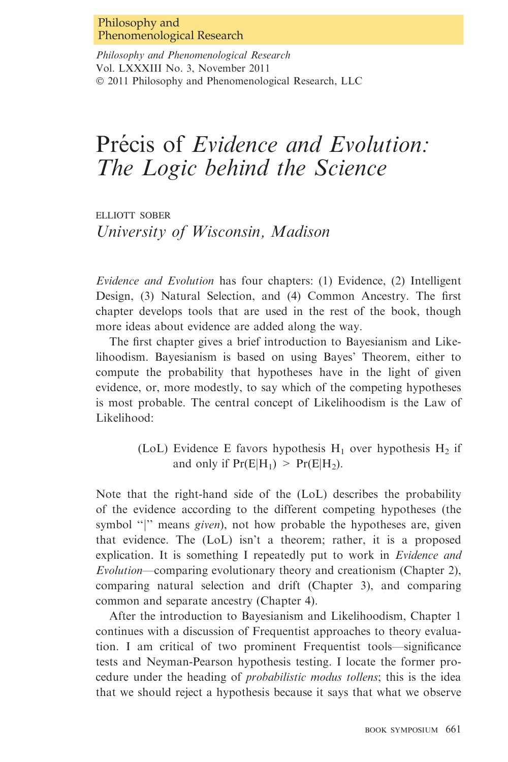## Philosophy and Phenomenological Research

Philosophy and Phenomenological Research Vol. LXXXIII No. 3, November 2011  $© 2011 Philosophy and Phenomenological Research, LLC$ 

# Précis of Evidence and Evolution: The Logic behind the Science

elliott sober University of Wisconsin, Madison

Evidence and Evolution has four chapters: (1) Evidence, (2) Intelligent Design, (3) Natural Selection, and (4) Common Ancestry. The first chapter develops tools that are used in the rest of the book, though more ideas about evidence are added along the way.

The first chapter gives a brief introduction to Bayesianism and Likelihoodism. Bayesianism is based on using Bayes' Theorem, either to compute the probability that hypotheses have in the light of given evidence, or, more modestly, to say which of the competing hypotheses is most probable. The central concept of Likelihoodism is the Law of Likelihood:

> (LoL) Evidence E favors hypothesis  $H_1$  over hypothesis  $H_2$  if and only if  $Pr(E|H_1)$  >  $Pr(E|H_2)$ .

Note that the right-hand side of the (LoL) describes the probability of the evidence according to the different competing hypotheses (the symbol "|" means given), not how probable the hypotheses are, given that evidence. The (LoL) isn't a theorem; rather, it is a proposed explication. It is something I repeatedly put to work in *Evidence and* Evolution—comparing evolutionary theory and creationism (Chapter 2), comparing natural selection and drift (Chapter 3), and comparing common and separate ancestry (Chapter 4).

After the introduction to Bayesianism and Likelihoodism, Chapter 1 continues with a discussion of Frequentist approaches to theory evaluation. I am critical of two prominent Frequentist tools—significance tests and Neyman-Pearson hypothesis testing. I locate the former procedure under the heading of *probabilistic modus tollens*; this is the idea that we should reject a hypothesis because it says that what we observe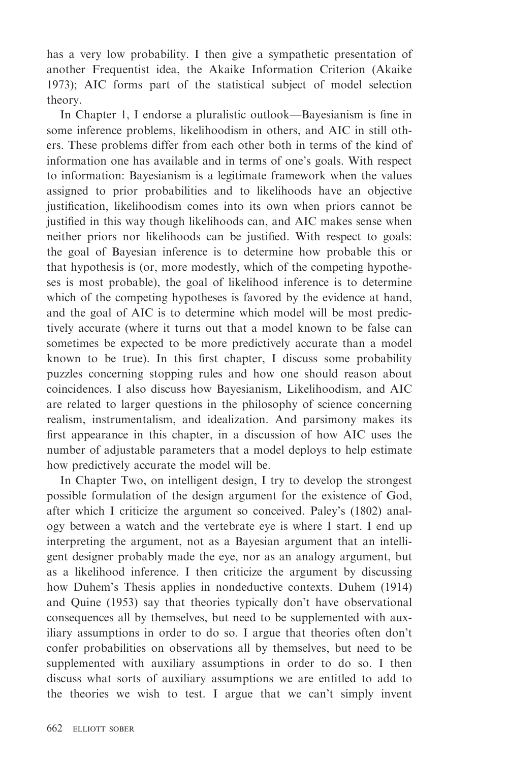has a very low probability. I then give a sympathetic presentation of another Frequentist idea, the Akaike Information Criterion (Akaike 1973); AIC forms part of the statistical subject of model selection theory.

In Chapter 1, I endorse a pluralistic outlook—Bayesianism is fine in some inference problems, likelihoodism in others, and AIC in still others. These problems differ from each other both in terms of the kind of information one has available and in terms of one's goals. With respect to information: Bayesianism is a legitimate framework when the values assigned to prior probabilities and to likelihoods have an objective justification, likelihoodism comes into its own when priors cannot be justified in this way though likelihoods can, and AIC makes sense when neither priors nor likelihoods can be justified. With respect to goals: the goal of Bayesian inference is to determine how probable this or that hypothesis is (or, more modestly, which of the competing hypotheses is most probable), the goal of likelihood inference is to determine which of the competing hypotheses is favored by the evidence at hand, and the goal of AIC is to determine which model will be most predictively accurate (where it turns out that a model known to be false can sometimes be expected to be more predictively accurate than a model known to be true). In this first chapter, I discuss some probability puzzles concerning stopping rules and how one should reason about coincidences. I also discuss how Bayesianism, Likelihoodism, and AIC are related to larger questions in the philosophy of science concerning realism, instrumentalism, and idealization. And parsimony makes its first appearance in this chapter, in a discussion of how AIC uses the number of adjustable parameters that a model deploys to help estimate how predictively accurate the model will be.

In Chapter Two, on intelligent design, I try to develop the strongest possible formulation of the design argument for the existence of God, after which I criticize the argument so conceived. Paley's (1802) analogy between a watch and the vertebrate eye is where I start. I end up interpreting the argument, not as a Bayesian argument that an intelligent designer probably made the eye, nor as an analogy argument, but as a likelihood inference. I then criticize the argument by discussing how Duhem's Thesis applies in nondeductive contexts. Duhem (1914) and Quine (1953) say that theories typically don't have observational consequences all by themselves, but need to be supplemented with auxiliary assumptions in order to do so. I argue that theories often don't confer probabilities on observations all by themselves, but need to be supplemented with auxiliary assumptions in order to do so. I then discuss what sorts of auxiliary assumptions we are entitled to add to the theories we wish to test. I argue that we can't simply invent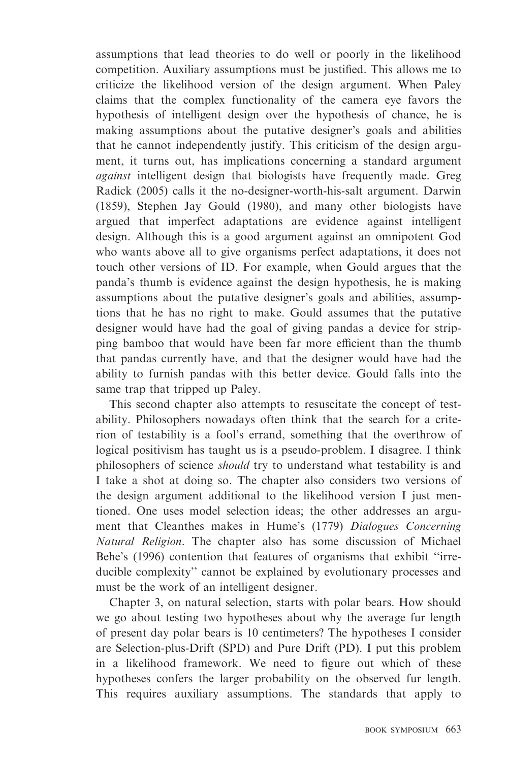assumptions that lead theories to do well or poorly in the likelihood competition. Auxiliary assumptions must be justified. This allows me to criticize the likelihood version of the design argument. When Paley claims that the complex functionality of the camera eye favors the hypothesis of intelligent design over the hypothesis of chance, he is making assumptions about the putative designer's goals and abilities that he cannot independently justify. This criticism of the design argument, it turns out, has implications concerning a standard argument against intelligent design that biologists have frequently made. Greg Radick (2005) calls it the no-designer-worth-his-salt argument. Darwin (1859), Stephen Jay Gould (1980), and many other biologists have argued that imperfect adaptations are evidence against intelligent design. Although this is a good argument against an omnipotent God who wants above all to give organisms perfect adaptations, it does not touch other versions of ID. For example, when Gould argues that the panda's thumb is evidence against the design hypothesis, he is making assumptions about the putative designer's goals and abilities, assumptions that he has no right to make. Gould assumes that the putative designer would have had the goal of giving pandas a device for stripping bamboo that would have been far more efficient than the thumb that pandas currently have, and that the designer would have had the ability to furnish pandas with this better device. Gould falls into the same trap that tripped up Paley.

This second chapter also attempts to resuscitate the concept of testability. Philosophers nowadays often think that the search for a criterion of testability is a fool's errand, something that the overthrow of logical positivism has taught us is a pseudo-problem. I disagree. I think philosophers of science should try to understand what testability is and I take a shot at doing so. The chapter also considers two versions of the design argument additional to the likelihood version I just mentioned. One uses model selection ideas; the other addresses an argument that Cleanthes makes in Hume's (1779) Dialogues Concerning Natural Religion. The chapter also has some discussion of Michael Behe's (1996) contention that features of organisms that exhibit ''irreducible complexity'' cannot be explained by evolutionary processes and must be the work of an intelligent designer.

Chapter 3, on natural selection, starts with polar bears. How should we go about testing two hypotheses about why the average fur length of present day polar bears is 10 centimeters? The hypotheses I consider are Selection-plus-Drift (SPD) and Pure Drift (PD). I put this problem in a likelihood framework. We need to figure out which of these hypotheses confers the larger probability on the observed fur length. This requires auxiliary assumptions. The standards that apply to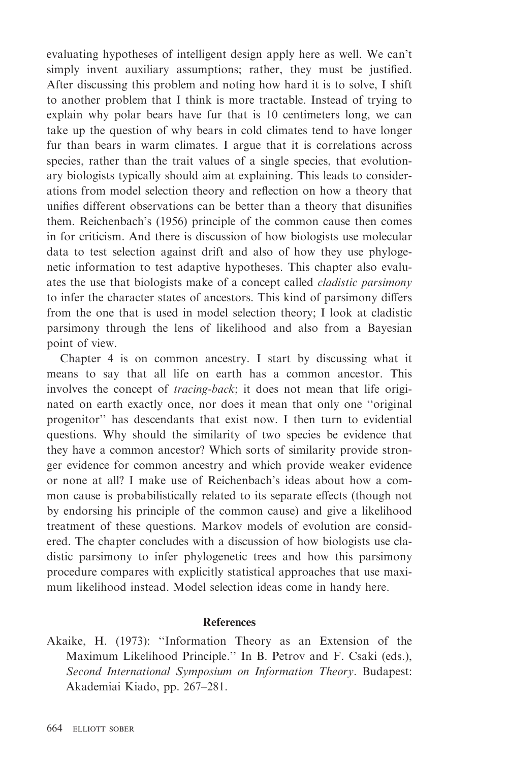evaluating hypotheses of intelligent design apply here as well. We can't simply invent auxiliary assumptions; rather, they must be justified. After discussing this problem and noting how hard it is to solve, I shift to another problem that I think is more tractable. Instead of trying to explain why polar bears have fur that is 10 centimeters long, we can take up the question of why bears in cold climates tend to have longer fur than bears in warm climates. I argue that it is correlations across species, rather than the trait values of a single species, that evolutionary biologists typically should aim at explaining. This leads to considerations from model selection theory and reflection on how a theory that unifies different observations can be better than a theory that disunifies them. Reichenbach's (1956) principle of the common cause then comes in for criticism. And there is discussion of how biologists use molecular data to test selection against drift and also of how they use phylogenetic information to test adaptive hypotheses. This chapter also evaluates the use that biologists make of a concept called cladistic parsimony to infer the character states of ancestors. This kind of parsimony differs from the one that is used in model selection theory; I look at cladistic parsimony through the lens of likelihood and also from a Bayesian point of view.

Chapter 4 is on common ancestry. I start by discussing what it means to say that all life on earth has a common ancestor. This involves the concept of tracing-back; it does not mean that life originated on earth exactly once, nor does it mean that only one ''original progenitor'' has descendants that exist now. I then turn to evidential questions. Why should the similarity of two species be evidence that they have a common ancestor? Which sorts of similarity provide stronger evidence for common ancestry and which provide weaker evidence or none at all? I make use of Reichenbach's ideas about how a common cause is probabilistically related to its separate effects (though not by endorsing his principle of the common cause) and give a likelihood treatment of these questions. Markov models of evolution are considered. The chapter concludes with a discussion of how biologists use cladistic parsimony to infer phylogenetic trees and how this parsimony procedure compares with explicitly statistical approaches that use maximum likelihood instead. Model selection ideas come in handy here.

## **References**

Akaike, H. (1973): ''Information Theory as an Extension of the Maximum Likelihood Principle.'' In B. Petrov and F. Csaki (eds.), Second International Symposium on Information Theory. Budapest: Akademiai Kiado, pp. 267–281.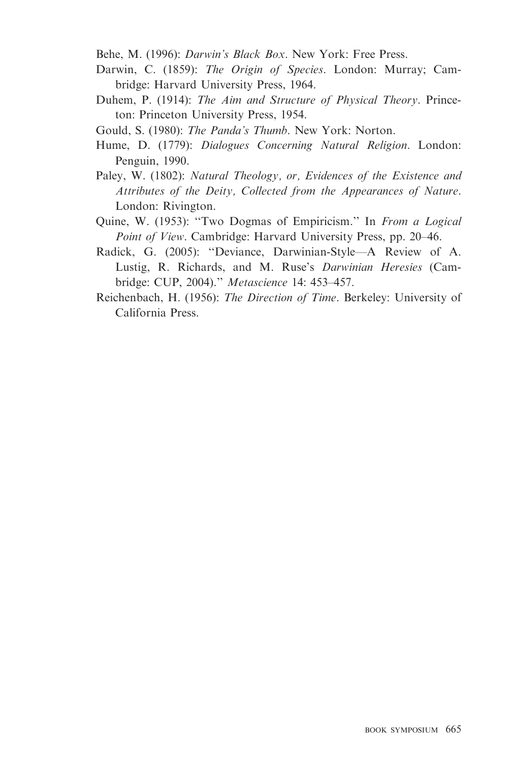Behe, M. (1996): Darwin's Black Box. New York: Free Press.

- Darwin, C. (1859): The Origin of Species. London: Murray; Cambridge: Harvard University Press, 1964.
- Duhem, P. (1914): The Aim and Structure of Physical Theory. Princeton: Princeton University Press, 1954.
- Gould, S. (1980): The Panda's Thumb. New York: Norton.
- Hume, D. (1779): Dialogues Concerning Natural Religion. London: Penguin, 1990.
- Paley, W. (1802): Natural Theology, or, Evidences of the Existence and Attributes of the Deity, Collected from the Appearances of Nature. London: Rivington.
- Quine, W. (1953): ''Two Dogmas of Empiricism.'' In From a Logical Point of View. Cambridge: Harvard University Press, pp. 20-46.
- Radick, G. (2005): ''Deviance, Darwinian-Style—A Review of A. Lustig, R. Richards, and M. Ruse's Darwinian Heresies (Cambridge: CUP, 2004).'' Metascience 14: 453–457.
- Reichenbach, H. (1956): The Direction of Time. Berkeley: University of California Press.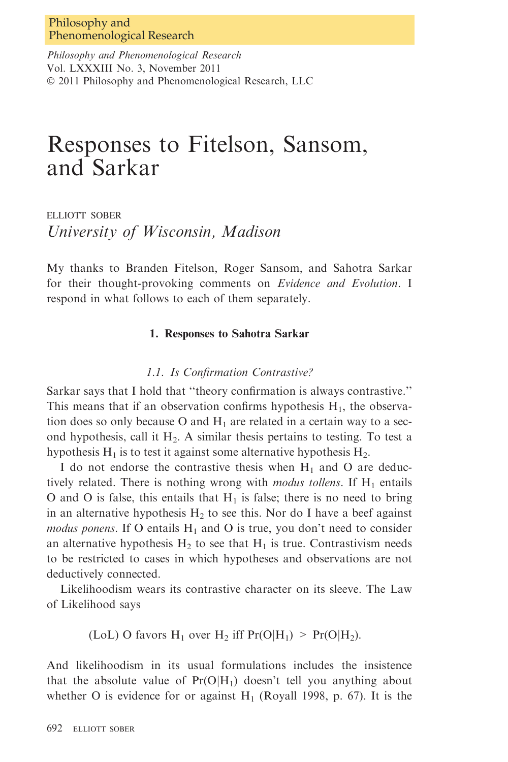Philosophy and Phenomenological Research Vol. LXXXIII No. 3, November 2011  $© 2011 Philosophy and Phenomenological Research, LLC$ 

# Responses to Fitelson, Sansom, and Sarkar

elliott sober University of Wisconsin, Madison

My thanks to Branden Fitelson, Roger Sansom, and Sahotra Sarkar for their thought-provoking comments on Evidence and Evolution. I respond in what follows to each of them separately.

## 1. Responses to Sahotra Sarkar

#### 1.1. Is Confirmation Contrastive?

Sarkar says that I hold that ''theory confirmation is always contrastive.'' This means that if an observation confirms hypothesis  $H_1$ , the observation does so only because O and  $H_1$  are related in a certain way to a second hypothesis, call it  $H_2$ . A similar thesis pertains to testing. To test a hypothesis  $H_1$  is to test it against some alternative hypothesis  $H_2$ .

I do not endorse the contrastive thesis when  $H_1$  and O are deductively related. There is nothing wrong with *modus tollens*. If  $H_1$  entails O and O is false, this entails that  $H_1$  is false; there is no need to bring in an alternative hypothesis  $H_2$  to see this. Nor do I have a beef against *modus ponens*. If O entails  $H_1$  and O is true, you don't need to consider an alternative hypothesis  $H_2$  to see that  $H_1$  is true. Contrastivism needs to be restricted to cases in which hypotheses and observations are not deductively connected.

Likelihoodism wears its contrastive character on its sleeve. The Law of Likelihood says

(LoL) O favors  $H_1$  over  $H_2$  iff  $Pr(O|H_1)$  >  $Pr(O|H_2)$ .

And likelihoodism in its usual formulations includes the insistence that the absolute value of  $Pr(O|H_1)$  doesn't tell you anything about whether O is evidence for or against  $H_1$  (Royall 1998, p. 67). It is the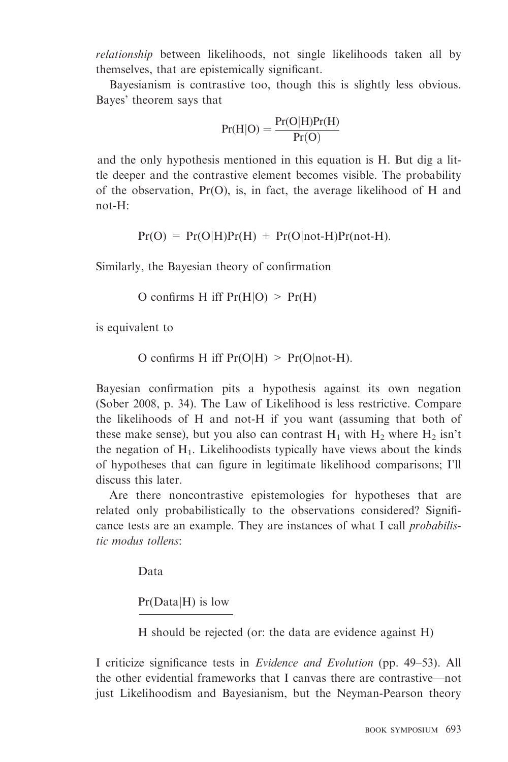relationship between likelihoods, not single likelihoods taken all by themselves, that are epistemically significant.

Bayesianism is contrastive too, though this is slightly less obvious. Bayes' theorem says that

$$
Pr(H|O) = \frac{Pr(O|H)Pr(H)}{Pr(O)}
$$

and the only hypothesis mentioned in this equation is H. But dig a little deeper and the contrastive element becomes visible. The probability of the observation, Pr(O), is, in fact, the average likelihood of H and not-H:

$$
Pr(O) = Pr(O|H)Pr(H) + Pr(O|not\text{-}H)Pr(not\text{-}H).
$$

Similarly, the Bayesian theory of confirmation

O confirms H iff  $Pr(H|O) > Pr(H)$ 

is equivalent to

O confirms H iff 
$$
Pr(O|H) > Pr(O|not-H)
$$
.

Bayesian confirmation pits a hypothesis against its own negation (Sober 2008, p. 34). The Law of Likelihood is less restrictive. Compare the likelihoods of H and not-H if you want (assuming that both of these make sense), but you also can contrast  $H_1$  with  $H_2$  where  $H_2$  isn't the negation of  $H_1$ . Likelihoodists typically have views about the kinds of hypotheses that can figure in legitimate likelihood comparisons; I'll discuss this later.

Are there noncontrastive epistemologies for hypotheses that are related only probabilistically to the observations considered? Significance tests are an example. They are instances of what I call *probabilis*tic modus tollens:

Data

 $Pr(Data|H)$  is low

H should be rejected (or: the data are evidence against H)

I criticize significance tests in Evidence and Evolution (pp. 49–53). All the other evidential frameworks that I canvas there are contrastive—not just Likelihoodism and Bayesianism, but the Neyman-Pearson theory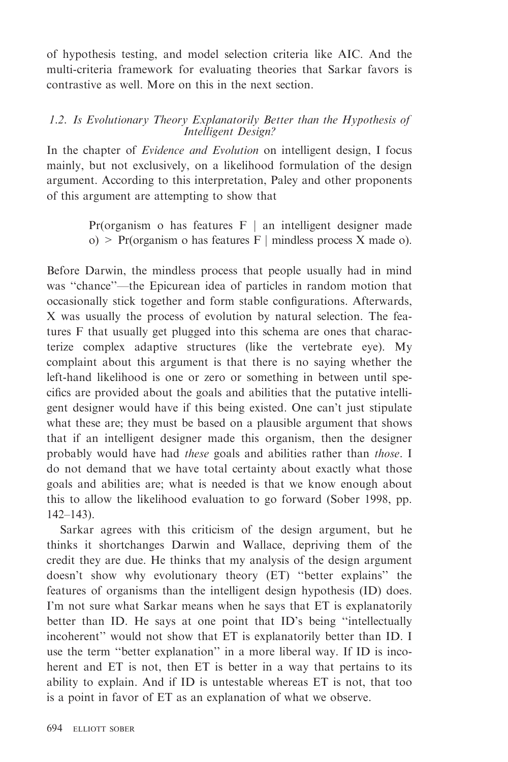of hypothesis testing, and model selection criteria like AIC. And the multi-criteria framework for evaluating theories that Sarkar favors is contrastive as well. More on this in the next section.

## 1.2. Is Evolutionary Theory Explanatorily Better than the Hypothesis of Intelligent Design?

In the chapter of Evidence and Evolution on intelligent design, I focus mainly, but not exclusively, on a likelihood formulation of the design argument. According to this interpretation, Paley and other proponents of this argument are attempting to show that

> Pr(organism o has features  $F |$  an intelligent designer made o) > Pr(organism o has features F | mindless process X made o).

Before Darwin, the mindless process that people usually had in mind was ''chance''—the Epicurean idea of particles in random motion that occasionally stick together and form stable configurations. Afterwards, X was usually the process of evolution by natural selection. The features F that usually get plugged into this schema are ones that characterize complex adaptive structures (like the vertebrate eye). My complaint about this argument is that there is no saying whether the left-hand likelihood is one or zero or something in between until specifics are provided about the goals and abilities that the putative intelligent designer would have if this being existed. One can't just stipulate what these are; they must be based on a plausible argument that shows that if an intelligent designer made this organism, then the designer probably would have had these goals and abilities rather than those. I do not demand that we have total certainty about exactly what those goals and abilities are; what is needed is that we know enough about this to allow the likelihood evaluation to go forward (Sober 1998, pp. 142–143).

Sarkar agrees with this criticism of the design argument, but he thinks it shortchanges Darwin and Wallace, depriving them of the credit they are due. He thinks that my analysis of the design argument doesn't show why evolutionary theory (ET) ''better explains'' the features of organisms than the intelligent design hypothesis (ID) does. I'm not sure what Sarkar means when he says that ET is explanatorily better than ID. He says at one point that ID's being ''intellectually incoherent'' would not show that ET is explanatorily better than ID. I use the term ''better explanation'' in a more liberal way. If ID is incoherent and ET is not, then ET is better in a way that pertains to its ability to explain. And if ID is untestable whereas ET is not, that too is a point in favor of ET as an explanation of what we observe.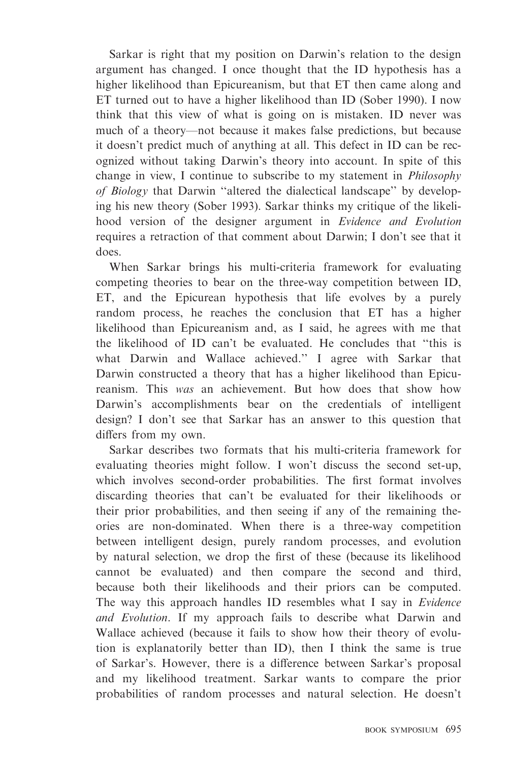Sarkar is right that my position on Darwin's relation to the design argument has changed. I once thought that the ID hypothesis has a higher likelihood than Epicureanism, but that ET then came along and ET turned out to have a higher likelihood than ID (Sober 1990). I now think that this view of what is going on is mistaken. ID never was much of a theory—not because it makes false predictions, but because it doesn't predict much of anything at all. This defect in ID can be recognized without taking Darwin's theory into account. In spite of this change in view, I continue to subscribe to my statement in *Philosophy* of Biology that Darwin ''altered the dialectical landscape'' by developing his new theory (Sober 1993). Sarkar thinks my critique of the likelihood version of the designer argument in Evidence and Evolution requires a retraction of that comment about Darwin; I don't see that it does.

When Sarkar brings his multi-criteria framework for evaluating competing theories to bear on the three-way competition between ID, ET, and the Epicurean hypothesis that life evolves by a purely random process, he reaches the conclusion that ET has a higher likelihood than Epicureanism and, as I said, he agrees with me that the likelihood of ID can't be evaluated. He concludes that ''this is what Darwin and Wallace achieved.'' I agree with Sarkar that Darwin constructed a theory that has a higher likelihood than Epicureanism. This was an achievement. But how does that show how Darwin's accomplishments bear on the credentials of intelligent design? I don't see that Sarkar has an answer to this question that differs from my own.

Sarkar describes two formats that his multi-criteria framework for evaluating theories might follow. I won't discuss the second set-up, which involves second-order probabilities. The first format involves discarding theories that can't be evaluated for their likelihoods or their prior probabilities, and then seeing if any of the remaining theories are non-dominated. When there is a three-way competition between intelligent design, purely random processes, and evolution by natural selection, we drop the first of these (because its likelihood cannot be evaluated) and then compare the second and third, because both their likelihoods and their priors can be computed. The way this approach handles ID resembles what I say in Evidence and Evolution. If my approach fails to describe what Darwin and Wallace achieved (because it fails to show how their theory of evolution is explanatorily better than ID), then I think the same is true of Sarkar's. However, there is a difference between Sarkar's proposal and my likelihood treatment. Sarkar wants to compare the prior probabilities of random processes and natural selection. He doesn't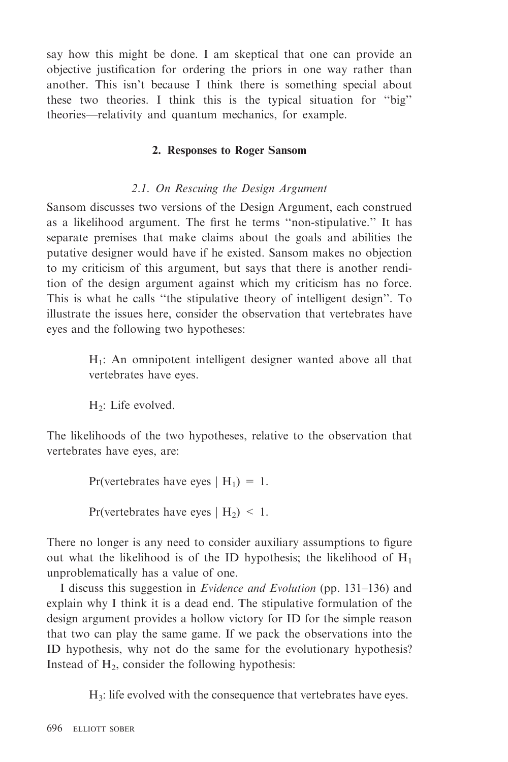say how this might be done. I am skeptical that one can provide an objective justification for ordering the priors in one way rather than another. This isn't because I think there is something special about these two theories. I think this is the typical situation for ''big'' theories—relativity and quantum mechanics, for example.

## 2. Responses to Roger Sansom

### 2.1. On Rescuing the Design Argument

Sansom discusses two versions of the Design Argument, each construed as a likelihood argument. The first he terms ''non-stipulative.'' It has separate premises that make claims about the goals and abilities the putative designer would have if he existed. Sansom makes no objection to my criticism of this argument, but says that there is another rendition of the design argument against which my criticism has no force. This is what he calls ''the stipulative theory of intelligent design''. To illustrate the issues here, consider the observation that vertebrates have eyes and the following two hypotheses:

> H1: An omnipotent intelligent designer wanted above all that vertebrates have eyes.

 $H<sub>2</sub>$ : Life evolved.

The likelihoods of the two hypotheses, relative to the observation that vertebrates have eyes, are:

> Pr(vertebrates have eyes  $| H_1$ ) = 1. Pr(vertebrates have eyes  $| H_2 |$  < 1.

There no longer is any need to consider auxiliary assumptions to figure out what the likelihood is of the ID hypothesis; the likelihood of  $H_1$ unproblematically has a value of one.

I discuss this suggestion in Evidence and Evolution (pp. 131–136) and explain why I think it is a dead end. The stipulative formulation of the design argument provides a hollow victory for ID for the simple reason that two can play the same game. If we pack the observations into the ID hypothesis, why not do the same for the evolutionary hypothesis? Instead of  $H<sub>2</sub>$ , consider the following hypothesis:

 $H_3$ : life evolved with the consequence that vertebrates have eyes.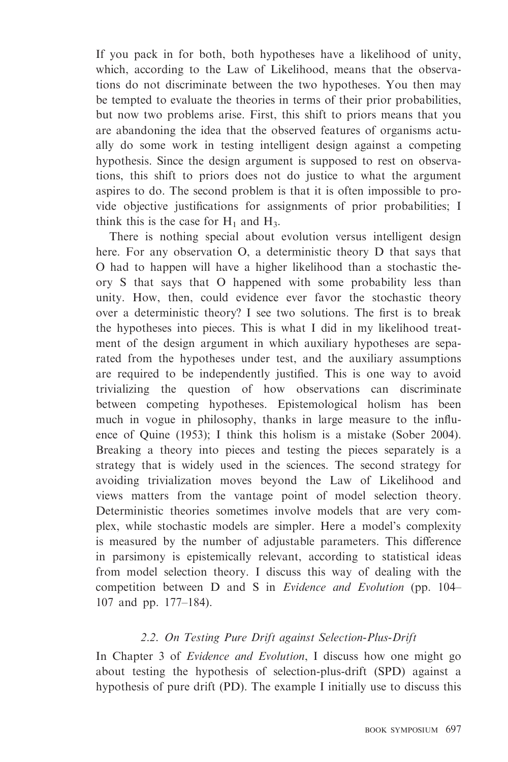If you pack in for both, both hypotheses have a likelihood of unity, which, according to the Law of Likelihood, means that the observations do not discriminate between the two hypotheses. You then may be tempted to evaluate the theories in terms of their prior probabilities, but now two problems arise. First, this shift to priors means that you are abandoning the idea that the observed features of organisms actually do some work in testing intelligent design against a competing hypothesis. Since the design argument is supposed to rest on observations, this shift to priors does not do justice to what the argument aspires to do. The second problem is that it is often impossible to provide objective justifications for assignments of prior probabilities; I think this is the case for  $H_1$  and  $H_3$ .

There is nothing special about evolution versus intelligent design here. For any observation O, a deterministic theory D that says that O had to happen will have a higher likelihood than a stochastic theory S that says that O happened with some probability less than unity. How, then, could evidence ever favor the stochastic theory over a deterministic theory? I see two solutions. The first is to break the hypotheses into pieces. This is what I did in my likelihood treatment of the design argument in which auxiliary hypotheses are separated from the hypotheses under test, and the auxiliary assumptions are required to be independently justified. This is one way to avoid trivializing the question of how observations can discriminate between competing hypotheses. Epistemological holism has been much in vogue in philosophy, thanks in large measure to the influence of Quine (1953); I think this holism is a mistake (Sober 2004). Breaking a theory into pieces and testing the pieces separately is a strategy that is widely used in the sciences. The second strategy for avoiding trivialization moves beyond the Law of Likelihood and views matters from the vantage point of model selection theory. Deterministic theories sometimes involve models that are very complex, while stochastic models are simpler. Here a model's complexity is measured by the number of adjustable parameters. This difference in parsimony is epistemically relevant, according to statistical ideas from model selection theory. I discuss this way of dealing with the competition between D and S in Evidence and Evolution (pp. 104– 107 and pp. 177–184).

## 2.2. On Testing Pure Drift against Selection-Plus-Drift

In Chapter 3 of *Evidence and Evolution*, I discuss how one might go about testing the hypothesis of selection-plus-drift (SPD) against a hypothesis of pure drift (PD). The example I initially use to discuss this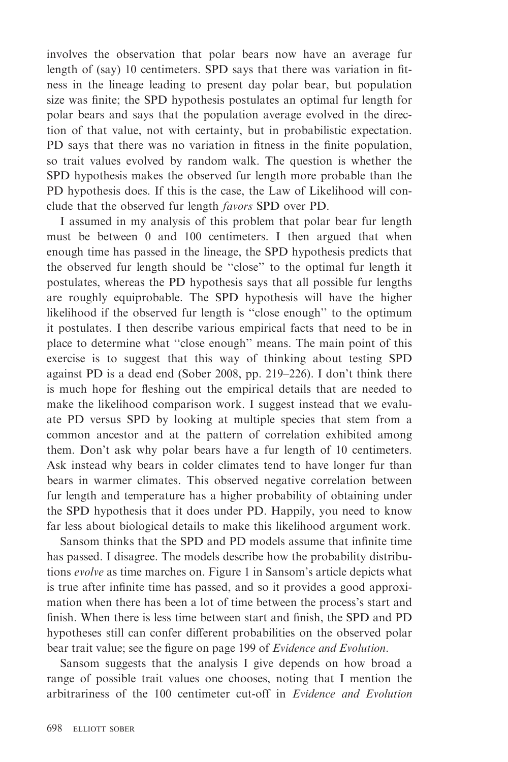involves the observation that polar bears now have an average fur length of (say) 10 centimeters. SPD says that there was variation in fitness in the lineage leading to present day polar bear, but population size was finite; the SPD hypothesis postulates an optimal fur length for polar bears and says that the population average evolved in the direction of that value, not with certainty, but in probabilistic expectation. PD says that there was no variation in fitness in the finite population, so trait values evolved by random walk. The question is whether the SPD hypothesis makes the observed fur length more probable than the PD hypothesis does. If this is the case, the Law of Likelihood will conclude that the observed fur length favors SPD over PD.

I assumed in my analysis of this problem that polar bear fur length must be between 0 and 100 centimeters. I then argued that when enough time has passed in the lineage, the SPD hypothesis predicts that the observed fur length should be ''close'' to the optimal fur length it postulates, whereas the PD hypothesis says that all possible fur lengths are roughly equiprobable. The SPD hypothesis will have the higher likelihood if the observed fur length is ''close enough'' to the optimum it postulates. I then describe various empirical facts that need to be in place to determine what ''close enough'' means. The main point of this exercise is to suggest that this way of thinking about testing SPD against PD is a dead end (Sober 2008, pp. 219–226). I don't think there is much hope for fleshing out the empirical details that are needed to make the likelihood comparison work. I suggest instead that we evaluate PD versus SPD by looking at multiple species that stem from a common ancestor and at the pattern of correlation exhibited among them. Don't ask why polar bears have a fur length of 10 centimeters. Ask instead why bears in colder climates tend to have longer fur than bears in warmer climates. This observed negative correlation between fur length and temperature has a higher probability of obtaining under the SPD hypothesis that it does under PD. Happily, you need to know far less about biological details to make this likelihood argument work.

Sansom thinks that the SPD and PD models assume that infinite time has passed. I disagree. The models describe how the probability distributions evolve as time marches on. Figure 1 in Sansom's article depicts what is true after infinite time has passed, and so it provides a good approximation when there has been a lot of time between the process's start and finish. When there is less time between start and finish, the SPD and PD hypotheses still can confer different probabilities on the observed polar bear trait value; see the figure on page 199 of Evidence and Evolution.

Sansom suggests that the analysis I give depends on how broad a range of possible trait values one chooses, noting that I mention the arbitrariness of the 100 centimeter cut-off in Evidence and Evolution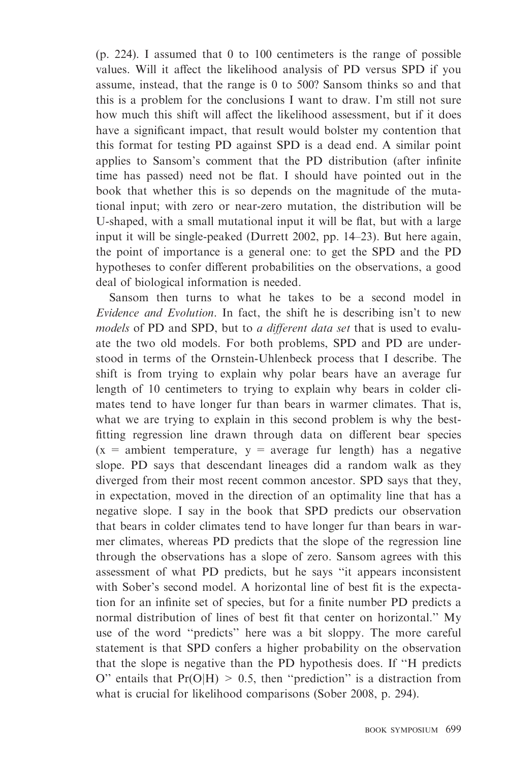(p. 224). I assumed that 0 to 100 centimeters is the range of possible values. Will it affect the likelihood analysis of PD versus SPD if you assume, instead, that the range is 0 to 500? Sansom thinks so and that this is a problem for the conclusions I want to draw. I'm still not sure how much this shift will affect the likelihood assessment, but if it does have a significant impact, that result would bolster my contention that this format for testing PD against SPD is a dead end. A similar point applies to Sansom's comment that the PD distribution (after infinite time has passed) need not be flat. I should have pointed out in the book that whether this is so depends on the magnitude of the mutational input; with zero or near-zero mutation, the distribution will be U-shaped, with a small mutational input it will be flat, but with a large input it will be single-peaked (Durrett 2002, pp. 14–23). But here again, the point of importance is a general one: to get the SPD and the PD hypotheses to confer different probabilities on the observations, a good deal of biological information is needed.

Sansom then turns to what he takes to be a second model in Evidence and Evolution. In fact, the shift he is describing isn't to new models of PD and SPD, but to a different data set that is used to evaluate the two old models. For both problems, SPD and PD are understood in terms of the Ornstein-Uhlenbeck process that I describe. The shift is from trying to explain why polar bears have an average fur length of 10 centimeters to trying to explain why bears in colder climates tend to have longer fur than bears in warmer climates. That is, what we are trying to explain in this second problem is why the bestfitting regression line drawn through data on different bear species  $(x =$  ambient temperature,  $y =$  average fur length) has a negative slope. PD says that descendant lineages did a random walk as they diverged from their most recent common ancestor. SPD says that they, in expectation, moved in the direction of an optimality line that has a negative slope. I say in the book that SPD predicts our observation that bears in colder climates tend to have longer fur than bears in warmer climates, whereas PD predicts that the slope of the regression line through the observations has a slope of zero. Sansom agrees with this assessment of what PD predicts, but he says ''it appears inconsistent with Sober's second model. A horizontal line of best fit is the expectation for an infinite set of species, but for a finite number PD predicts a normal distribution of lines of best fit that center on horizontal.'' My use of the word ''predicts'' here was a bit sloppy. The more careful statement is that SPD confers a higher probability on the observation that the slope is negative than the PD hypothesis does. If ''H predicts O" entails that  $Pr(O|H) > 0.5$ , then "prediction" is a distraction from what is crucial for likelihood comparisons (Sober 2008, p. 294).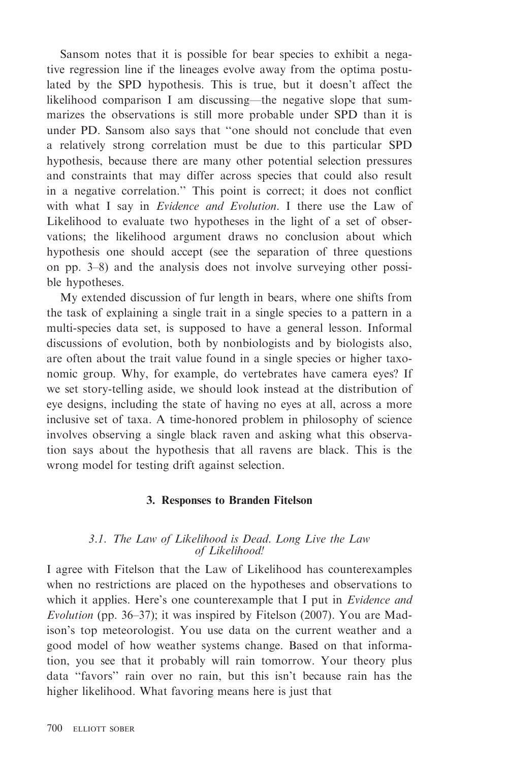Sansom notes that it is possible for bear species to exhibit a negative regression line if the lineages evolve away from the optima postulated by the SPD hypothesis. This is true, but it doesn't affect the likelihood comparison I am discussing—the negative slope that summarizes the observations is still more probable under SPD than it is under PD. Sansom also says that ''one should not conclude that even a relatively strong correlation must be due to this particular SPD hypothesis, because there are many other potential selection pressures and constraints that may differ across species that could also result in a negative correlation.'' This point is correct; it does not conflict with what I say in *Evidence and Evolution*. I there use the Law of Likelihood to evaluate two hypotheses in the light of a set of observations; the likelihood argument draws no conclusion about which hypothesis one should accept (see the separation of three questions on pp. 3–8) and the analysis does not involve surveying other possible hypotheses.

My extended discussion of fur length in bears, where one shifts from the task of explaining a single trait in a single species to a pattern in a multi-species data set, is supposed to have a general lesson. Informal discussions of evolution, both by nonbiologists and by biologists also, are often about the trait value found in a single species or higher taxonomic group. Why, for example, do vertebrates have camera eyes? If we set story-telling aside, we should look instead at the distribution of eye designs, including the state of having no eyes at all, across a more inclusive set of taxa. A time-honored problem in philosophy of science involves observing a single black raven and asking what this observation says about the hypothesis that all ravens are black. This is the wrong model for testing drift against selection.

#### 3. Responses to Branden Fitelson

### 3.1. The Law of Likelihood is Dead. Long Live the Law of Likelihood!

I agree with Fitelson that the Law of Likelihood has counterexamples when no restrictions are placed on the hypotheses and observations to which it applies. Here's one counterexample that I put in *Evidence and* Evolution (pp. 36–37); it was inspired by Fitelson (2007). You are Madison's top meteorologist. You use data on the current weather and a good model of how weather systems change. Based on that information, you see that it probably will rain tomorrow. Your theory plus data ''favors'' rain over no rain, but this isn't because rain has the higher likelihood. What favoring means here is just that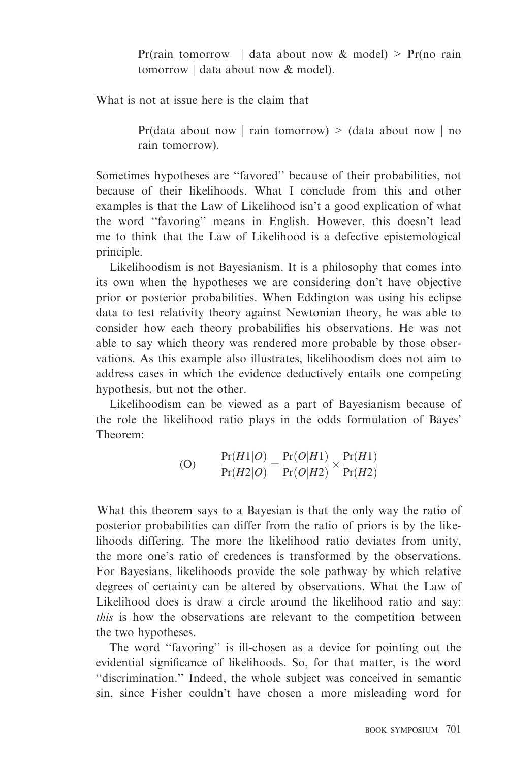Pr(rain tomorrow | data about now  $\&$  model) > Pr(no rain tomorrow j data about now & model).

What is not at issue here is the claim that

Pr(data about now | rain tomorrow) > (data about now | no rain tomorrow).

Sometimes hypotheses are ''favored'' because of their probabilities, not because of their likelihoods. What I conclude from this and other examples is that the Law of Likelihood isn't a good explication of what the word ''favoring'' means in English. However, this doesn't lead me to think that the Law of Likelihood is a defective epistemological principle.

Likelihoodism is not Bayesianism. It is a philosophy that comes into its own when the hypotheses we are considering don't have objective prior or posterior probabilities. When Eddington was using his eclipse data to test relativity theory against Newtonian theory, he was able to consider how each theory probabilifies his observations. He was not able to say which theory was rendered more probable by those observations. As this example also illustrates, likelihoodism does not aim to address cases in which the evidence deductively entails one competing hypothesis, but not the other.

Likelihoodism can be viewed as a part of Bayesianism because of the role the likelihood ratio plays in the odds formulation of Bayes' Theorem:

$$
(O) \qquad \frac{\Pr(H1|O)}{\Pr(H2|O)} = \frac{\Pr(O|H1)}{\Pr(O|H2)} \times \frac{\Pr(H1)}{\Pr(H2)}
$$

What this theorem says to a Bayesian is that the only way the ratio of posterior probabilities can differ from the ratio of priors is by the likelihoods differing. The more the likelihood ratio deviates from unity, the more one's ratio of credences is transformed by the observations. For Bayesians, likelihoods provide the sole pathway by which relative degrees of certainty can be altered by observations. What the Law of Likelihood does is draw a circle around the likelihood ratio and say: this is how the observations are relevant to the competition between the two hypotheses.

The word ''favoring'' is ill-chosen as a device for pointing out the evidential significance of likelihoods. So, for that matter, is the word ''discrimination.'' Indeed, the whole subject was conceived in semantic sin, since Fisher couldn't have chosen a more misleading word for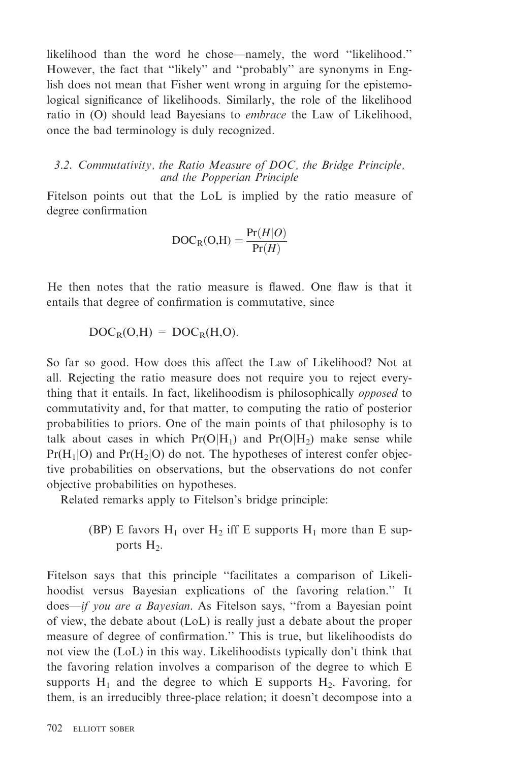likelihood than the word he chose—namely, the word ''likelihood.'' However, the fact that ''likely'' and ''probably'' are synonyms in English does not mean that Fisher went wrong in arguing for the epistemological significance of likelihoods. Similarly, the role of the likelihood ratio in (O) should lead Bayesians to embrace the Law of Likelihood, once the bad terminology is duly recognized.

#### 3.2. Commutativity, the Ratio Measure of DOC, the Bridge Principle, and the Popperian Principle

Fitelson points out that the LoL is implied by the ratio measure of degree confirmation

$$
DOCR(O,H) = \frac{Pr(H|O)}{Pr(H)}
$$

He then notes that the ratio measure is flawed. One flaw is that it entails that degree of confirmation is commutative, since

$$
DOC_{R}(O,H) = DOC_{R}(H,O).
$$

So far so good. How does this affect the Law of Likelihood? Not at all. Rejecting the ratio measure does not require you to reject everything that it entails. In fact, likelihoodism is philosophically opposed to commutativity and, for that matter, to computing the ratio of posterior probabilities to priors. One of the main points of that philosophy is to talk about cases in which  $Pr(O|H_1)$  and  $Pr(O|H_2)$  make sense while  $Pr(H_1|O)$  and  $Pr(H_2|O)$  do not. The hypotheses of interest confer objective probabilities on observations, but the observations do not confer objective probabilities on hypotheses.

Related remarks apply to Fitelson's bridge principle:

(BP) E favors  $H_1$  over  $H_2$  iff E supports  $H_1$  more than E supports  $H_2$ .

Fitelson says that this principle ''facilitates a comparison of Likelihoodist versus Bayesian explications of the favoring relation.'' It does—if you are a Bayesian. As Fitelson says, ''from a Bayesian point of view, the debate about (LoL) is really just a debate about the proper measure of degree of confirmation.'' This is true, but likelihoodists do not view the (LoL) in this way. Likelihoodists typically don't think that the favoring relation involves a comparison of the degree to which E supports  $H_1$  and the degree to which E supports  $H_2$ . Favoring, for them, is an irreducibly three-place relation; it doesn't decompose into a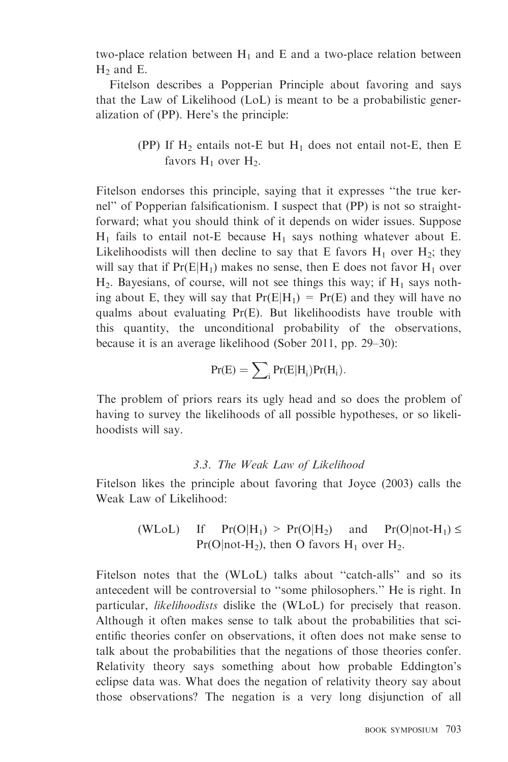two-place relation between  $H_1$  and E and a two-place relation between  $H_2$  and E.

Fitelson describes a Popperian Principle about favoring and says that the Law of Likelihood (LoL) is meant to be a probabilistic generalization of (PP). Here's the principle:

> (PP) If  $H_2$  entails not-E but  $H_1$  does not entail not-E, then E favors  $H_1$  over  $H_2$ .

Fitelson endorses this principle, saying that it expresses ''the true kernel'' of Popperian falsificationism. I suspect that (PP) is not so straightforward; what you should think of it depends on wider issues. Suppose  $H_1$  fails to entail not-E because  $H_1$  says nothing whatever about E. Likelihoodists will then decline to say that E favors  $H_1$  over  $H_2$ ; they will say that if  $Pr(E|H_1)$  makes no sense, then E does not favor  $H_1$  over  $H<sub>2</sub>$ . Bayesians, of course, will not see things this way; if  $H<sub>1</sub>$  says nothing about E, they will say that  $Pr(E|H_1) = Pr(E)$  and they will have no qualms about evaluating Pr(E). But likelihoodists have trouble with this quantity, the unconditional probability of the observations, because it is an average likelihood (Sober 2011, pp. 29–30):

$$
Pr(E) = \sum_{i} Pr(E|H_i)Pr(H_i).
$$

The problem of priors rears its ugly head and so does the problem of having to survey the likelihoods of all possible hypotheses, or so likelihoodists will say.

## 3.3. The Weak Law of Likelihood

Fitelson likes the principle about favoring that Joyce (2003) calls the Weak Law of Likelihood:

$$
(WLoL) \quad \text{If} \quad Pr(O|H_1) > Pr(O|H_2) \quad \text{and} \quad Pr(O|not \text{-} H_1) \le \text{Pr(O|not \text{-} H_2)}, \text{ then O favors } H_1 \text{ over } H_2.
$$

Fitelson notes that the (WLoL) talks about ''catch-alls'' and so its antecedent will be controversial to ''some philosophers.'' He is right. In particular, *likelihoodists* dislike the (WLoL) for precisely that reason. Although it often makes sense to talk about the probabilities that scientific theories confer on observations, it often does not make sense to talk about the probabilities that the negations of those theories confer. Relativity theory says something about how probable Eddington's eclipse data was. What does the negation of relativity theory say about those observations? The negation is a very long disjunction of all